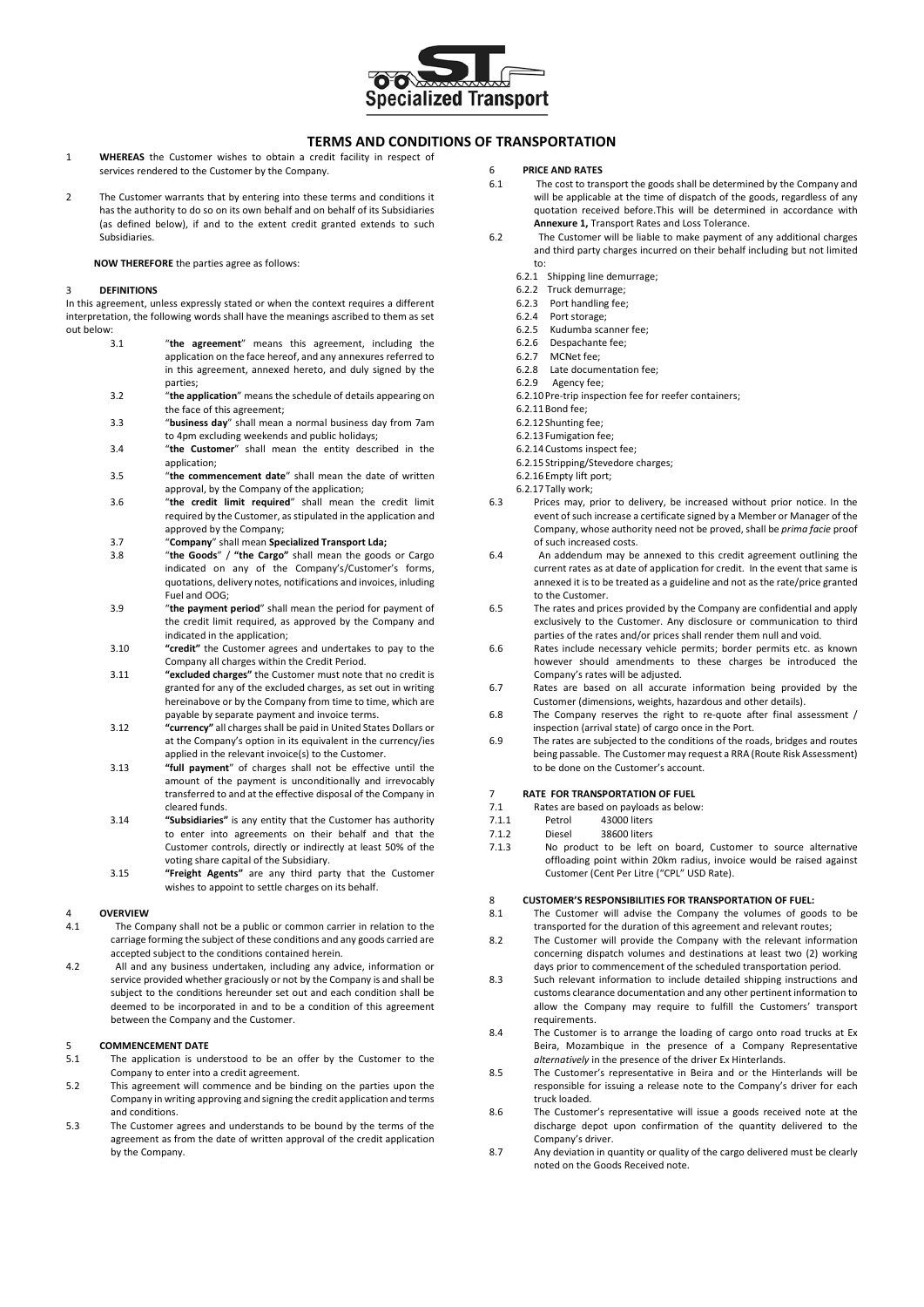

### **TERMS AND CONDITIONS OF TRANSPORTATION**

- 1 **WHEREAS** the Customer wishes to obtain a credit facility in respect of services rendered to the Customer by the Company.
- 2 The Customer warrants that by entering into these terms and conditions it has the authority to do so on its own behalf and on behalf of its Subsidiaries (as defined below), if and to the extent credit granted extends to such Subsidiaries.

#### **NOW THEREFORE** the parties agree as follows:

#### 3 **DEFINITIONS**

In this agreement, unless expressly stated or when the context requires a different interpretation, the following words shall have the meanings ascribed to them as set out below:

- 3.1 "**the agreement**" means this agreement, including the application on the face hereof, and any annexures referred to in this agreement, annexed hereto, and duly signed by the parties;
- 3.2 "**the application**" means the schedule of details appearing on the face of this agreement;
- 3.3 "**business day**" shall mean a normal business day from 7am to 4pm excluding weekends and public holidays;
- 3.4 "**the Customer**" shall mean the entity described in the application;
- 3.5 "**the commencement date**" shall mean the date of written approval, by the Company of the application;
- 3.6 "**the credit limit required**" shall mean the credit limit required by the Customer, as stipulated in the application and approved by the Company;
- 3.7 "**Company**" shall mean **Specialized Transport Lda;**
- 3.8 "**the Goods**" / **"the Cargo"** shall mean the goods or Cargo indicated on any of the Company's/Customer's forms, quotations, delivery notes, notifications and invoices, inluding Fuel and OOG;
- 3.9 "**the payment period**" shall mean the period for payment of the credit limit required, as approved by the Company and indicated in the application;
- 3.10 **"credit"** the Customer agrees and undertakes to pay to the Company all charges within the Credit Period.
- 3.11 **"excluded charges"** the Customer must note that no credit is granted for any of the excluded charges, as set out in writing hereinabove or by the Company from time to time, which are payable by separate payment and invoice terms.
- 3.12 **"currency"** all charges shall be paid in United States Dollars or at the Company's option in its equivalent in the currency/ies applied in the relevant invoice(s) to the Customer.
- 3.13 **"full payment**" of charges shall not be effective until the amount of the payment is unconditionally and irrevocably transferred to and at the effective disposal of the Company in cleared funds.
- 3.14 **"Subsidiaries"** is any entity that the Customer has authority to enter into agreements on their behalf and that the Customer controls, directly or indirectly at least 50% of the voting share capital of the Subsidiary.
- 3.15 **"Freight Agents"** are any third party that the Customer wishes to appoint to settle charges on its behalf.

## 4 **OVERVIEW**

- The Company shall not be a public or common carrier in relation to the carriage forming the subject of these conditions and any goods carried are accepted subject to the conditions contained herein.
- 4.2 All and any business undertaken, including any advice, information or service provided whether graciously or not by the Company is and shall be subject to the conditions hereunder set out and each condition shall be deemed to be incorporated in and to be a condition of this agreement between the Company and the Customer.

## 5 **COMMENCEMENT DATE**<br>5.1 The application is und

- The application is understood to be an offer by the Customer to the Company to enter into a credit agreement.
- 5.2 This agreement will commence and be binding on the parties upon the Company in writing approving and signing the credit application and terms and conditions.
- 5.3 The Customer agrees and understands to be bound by the terms of the agreement as from the date of written approval of the credit application by the Company.

## 6 **PRICE AND RATES**

- The cost to transport the goods shall be determined by the Company and will be applicable at the time of dispatch of the goods, regardless of any quotation received before.This will be determined in accordance with **Annexure 1,** Transport Rates and Loss Tolerance.
- 6.2 The Customer will be liable to make payment of any additional charges and third party charges incurred on their behalf including but not limited to:
	- 6.2.1 Shipping line demurrage;
	- 6.2.2 Truck demurrage;
	- 6.2.3 Port handling fee;
	- 6.2.4 Port storage;
	- Kudumba scanner fee;
	- 6.2.6 Despachante fee;<br>6.2.7 MCNet fee:
	- MCNet fee:
	- 6.2.8 Late documentation fee;
	- 6.2.9 Agency fee;
	- 6.2.10 Pre-trip inspection fee for reefer containers;
	- 6.2.11Bond fee;
	- 6.2.12 Shunting fee;
	- 6.2.13 Fumigation fee;
	- 6.2.14Customs inspect fee;
	- 6.2.15 Stripping/Stevedore charges;
	- 6.2.16 Empty lift port;
	- 6.2.17 Tally work;
- 6.3 Prices may, prior to delivery, be increased without prior notice. In the event of such increase a certificate signed by a Member or Manager of the Company, whose authority need not be proved, shall be *prima facie* proof of such increased costs.
- 6.4 An addendum may be annexed to this credit agreement outlining the current rates as at date of application for credit. In the event that same is annexed it is to be treated as a guideline and not as the rate/price granted to the Customer.
- 6.5 The rates and prices provided by the Company are confidential and apply exclusively to the Customer. Any disclosure or communication to third parties of the rates and/or prices shall render them null and void.
- 6.6 Rates include necessary vehicle permits; border permits etc. as known however should amendments to these charges be introduced the Company's rates will be adjusted.
- 6.7 Rates are based on all accurate information being provided by the Customer (dimensions, weights, hazardous and other details).
- 6.8 The Company reserves the right to re-quote after final assessment / inspection (arrival state) of cargo once in the Port.
- 6.9 The rates are subjected to the conditions of the roads, bridges and routes being passable. The Customer may request a RRA (Route Risk Assessment) to be done on the Customer's account.

#### 7 **RATE FOR TRANSPORTATION OF FUEL**

- 7.1 Rates are based on payloads as below:<br>7.1.1 Petrol 43000 liters
- 43000 liters
- 7.1.2 Diesel 38600 liters
- 7.1.3 No product to be left on board, Customer to source alternative offloading point within 20km radius, invoice would be raised against Customer (Cent Per Litre ("CPL" USD Rate).

## 8 **CUSTOMER'S RESPONSIBILITIES FOR TRANSPORTATION OF FUEL:**<br>8.1 The Customer will advise the Company the volumes of good

- The Customer will advise the Company the volumes of goods to be transported for the duration of this agreement and relevant routes;
- 8.2 The Customer will provide the Company with the relevant information concerning dispatch volumes and destinations at least two (2) working days prior to commencement of the scheduled transportation period.
- 8.3 Such relevant information to include detailed shipping instructions and customs clearance documentation and any other pertinent information to allow the Company may require to fulfill the Customers' transport requirements.
- 8.4 The Customer is to arrange the loading of cargo onto road trucks at Ex Beira, Mozambique in the presence of a Company Representative *alternatively* in the presence of the driver Ex Hinterlands.
- 8.5 The Customer's representative in Beira and or the Hinterlands will be responsible for issuing a release note to the Company's driver for each truck loaded.
- 8.6 The Customer's representative will issue a goods received note at the discharge depot upon confirmation of the quantity delivered to the Company's driver.
- 8.7 Any deviation in quantity or quality of the cargo delivered must be clearly noted on the Goods Received note.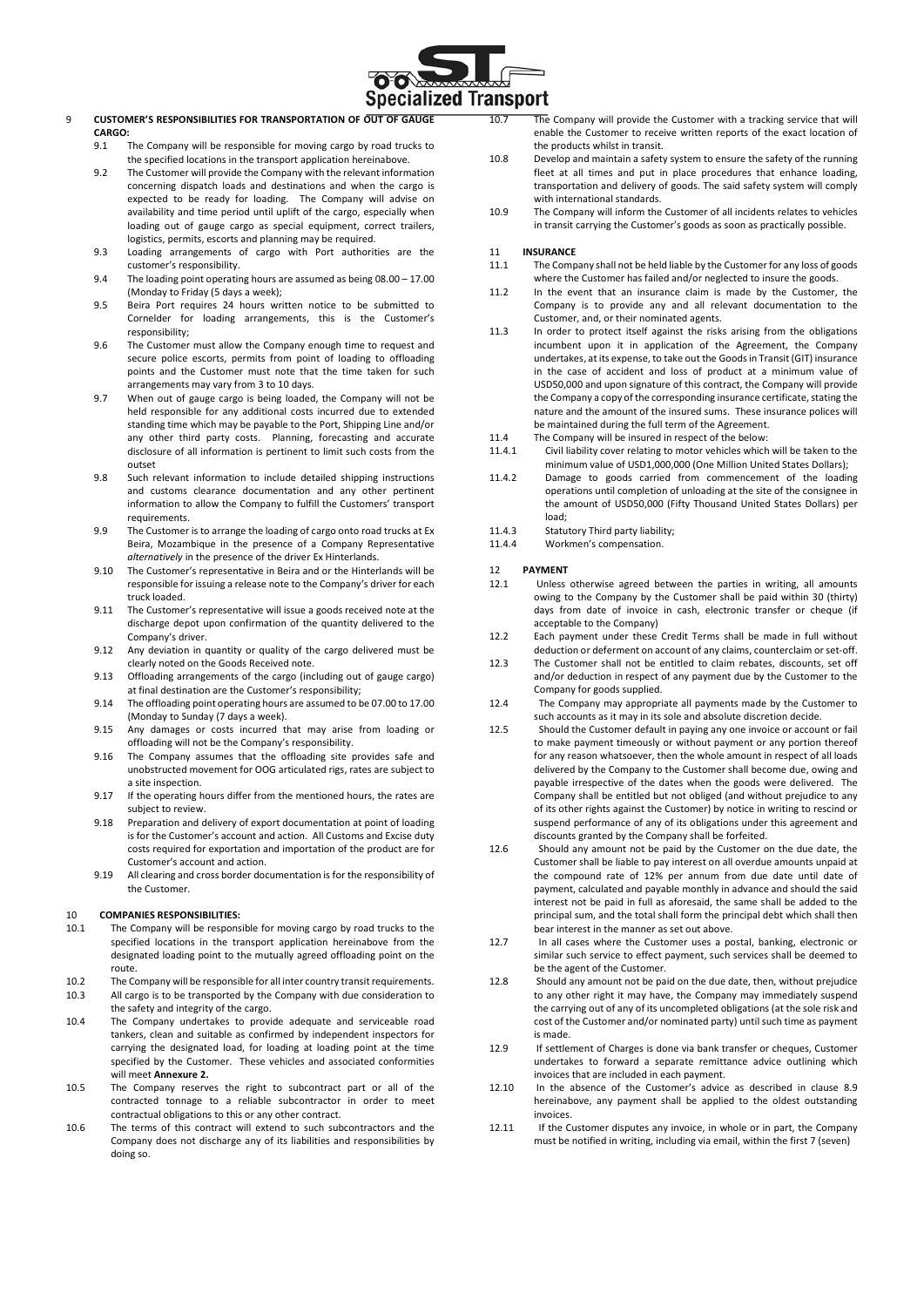

#### 9 **CUSTOMER'S RESPONSIBILITIES FOR TRANSPORTATION OF OUT OF GAUGE CARGO:**

- 9.1 The Company will be responsible for moving cargo by road trucks to the specified locations in the transport application hereinabove.
- 9.2 The Customer will provide the Company with the relevant information concerning dispatch loads and destinations and when the cargo is expected to be ready for loading. The Company will advise on availability and time period until uplift of the cargo, especially when loading out of gauge cargo as special equipment, correct trailers, logistics, permits, escorts and planning may be required.
- 9.3 Loading arrangements of cargo with Port authorities are the customer's responsibility.
- 9.4 The loading point operating hours are assumed as being 08.00 17.00 (Monday to Friday (5 days a week);
- 9.5 Beira Port requires 24 hours written notice to be submitted to Cornelder for loading arrangements, this is the Customer's responsibility;
- 9.6 The Customer must allow the Company enough time to request and secure police escorts, permits from point of loading to offloading points and the Customer must note that the time taken for such arrangements may vary from 3 to 10 days.
- 9.7 When out of gauge cargo is being loaded, the Company will not be held responsible for any additional costs incurred due to extended standing time which may be payable to the Port, Shipping Line and/or any other third party costs. Planning, forecasting and accurate disclosure of all information is pertinent to limit such costs from the outset
- 9.8 Such relevant information to include detailed shipping instructions and customs clearance documentation and any other pertinent information to allow the Company to fulfill the Customers' transport requirements.
- 9.9 The Customer is to arrange the loading of cargo onto road trucks at Ex Beira, Mozambique in the presence of a Company Representative *alternatively* in the presence of the driver Ex Hinterlands.
- 9.10 The Customer's representative in Beira and or the Hinterlands will be responsible for issuing a release note to the Company's driver for each truck loaded.
- 9.11 The Customer's representative will issue a goods received note at the discharge depot upon confirmation of the quantity delivered to the Company's driver.
- 9.12 Any deviation in quantity or quality of the cargo delivered must be clearly noted on the Goods Received note.
- 9.13 Offloading arrangements of the cargo (including out of gauge cargo) at final destination are the Customer's responsibility;
- 9.14 The offloading point operating hours are assumed to be 07.00 to 17.00 (Monday to Sunday (7 days a week).
- 9.15 Any damages or costs incurred that may arise from loading or offloading will not be the Company's responsibility.
- 9.16 The Company assumes that the offloading site provides safe and unobstructed movement for OOG articulated rigs, rates are subject to a site inspection.
- 9.17 If the operating hours differ from the mentioned hours, the rates are subject to review.
- 9.18 Preparation and delivery of export documentation at point of loading is for the Customer's account and action. All Customs and Excise duty costs required for exportation and importation of the product are for Customer's account and action.
- 9.19 All clearing and cross border documentation is for the responsibility of the Customer.

# 10 **COMPANIES RESPONSIBILITIES:**<br>10.1 The Company will be responsi

- The Company will be responsible for moving cargo by road trucks to the specified locations in the transport application hereinabove from the designated loading point to the mutually agreed offloading point on the route.
- 10.2 The Company will be responsible for all inter country transit requirements. 10.3 All cargo is to be transported by the Company with due consideration to
- the safety and integrity of the cargo. 10.4 The Company undertakes to provide adequate and serviceable road tankers, clean and suitable as confirmed by independent inspectors for carrying the designated load, for loading at loading point at the time specified by the Customer. These vehicles and associated conformities will meet **Annexure 2.**
- 10.5 The Company reserves the right to subcontract part or all of the contracted tonnage to a reliable subcontractor in order to meet contractual obligations to this or any other contract.
- 10.6 The terms of this contract will extend to such subcontractors and the Company does not discharge any of its liabilities and responsibilities by doing so.

10.7 The Company will provide the Customer with a tracking service that will enable the Customer to receive written reports of the exact location of the products whilst in transit.

- 10.8 Develop and maintain a safety system to ensure the safety of the running fleet at all times and put in place procedures that enhance loading, transportation and delivery of goods. The said safety system will comply with international standards.
- 10.9 The Company will inform the Customer of all incidents relates to vehicles in transit carrying the Customer's goods as soon as practically possible.

## 11 **INSURANCE**<br>11.1 The Comp

- The Company shall not be held liable by the Customer for any loss of goods where the Customer has failed and/or neglected to insure the goods.
- 11.2 In the event that an insurance claim is made by the Customer, the Company is to provide any and all relevant documentation to the Customer, and, or their nominated agents.
- 11.3 In order to protect itself against the risks arising from the obligations incumbent upon it in application of the Agreement, the Company undertakes, at its expense, to take out the Goods in Transit (GIT) insurance in the case of accident and loss of product at a minimum value of USD50,000 and upon signature of this contract, the Company will provide the Company a copy of the corresponding insurance certificate, stating the nature and the amount of the insured sums. These insurance polices will be maintained during the full term of the Agreement.
- 11.4 The Company will be insured in respect of the below:
- 11.4.1 Civil liability cover relating to motor vehicles which will be taken to the minimum value of USD1,000,000 (One Million United States Dollars);
- 11.4.2 Damage to goods carried from commencement of the loading operations until completion of unloading at the site of the consignee in the amount of USD50,000 (Fifty Thousand United States Dollars) per load;
- 
- 11.4.3 Statutory Third party liability;<br>11.4.4 Workmen's compensation. Workmen's compensation.

# 12 **PAYMENT**

- Unless otherwise agreed between the parties in writing, all amounts owing to the Company by the Customer shall be paid within 30 (thirty) days from date of invoice in cash, electronic transfer or cheque (if acceptable to the Company)
- 12.2 Each payment under these Credit Terms shall be made in full without deduction or deferment on account of any claims, counterclaim or set-off.
- 12.3 The Customer shall not be entitled to claim rebates, discounts, set off and/or deduction in respect of any payment due by the Customer to the Company for goods supplied.
- 12.4 The Company may appropriate all payments made by the Customer to such accounts as it may in its sole and absolute discretion decide.
- 12.5 Should the Customer default in paying any one invoice or account or fail to make payment timeously or without payment or any portion thereof for any reason whatsoever, then the whole amount in respect of all loads delivered by the Company to the Customer shall become due, owing and payable irrespective of the dates when the goods were delivered. The Company shall be entitled but not obliged (and without prejudice to any of its other rights against the Customer) by notice in writing to rescind or suspend performance of any of its obligations under this agreement and discounts granted by the Company shall be forfeited.
- 12.6 Should any amount not be paid by the Customer on the due date, the Customer shall be liable to pay interest on all overdue amounts unpaid at the compound rate of 12% per annum from due date until date of payment, calculated and payable monthly in advance and should the said interest not be paid in full as aforesaid, the same shall be added to the principal sum, and the total shall form the principal debt which shall then bear interest in the manner as set out above.
- 12.7 In all cases where the Customer uses a postal, banking, electronic or similar such service to effect payment, such services shall be deemed to be the agent of the Customer.
- 12.8 Should any amount not be paid on the due date, then, without prejudice to any other right it may have, the Company may immediately suspend the carrying out of any of its uncompleted obligations (at the sole risk and cost of the Customer and/or nominated party) until such time as payment is made.
- 12.9 If settlement of Charges is done via bank transfer or cheques, Customer undertakes to forward a separate remittance advice outlining which invoices that are included in each payment.
- 12.10 In the absence of the Customer's advice as described in clause 8.9 hereinabove, any payment shall be applied to the oldest outstanding invoices.
- 12.11 If the Customer disputes any invoice, in whole or in part, the Company must be notified in writing, including via email, within the first 7 (seven)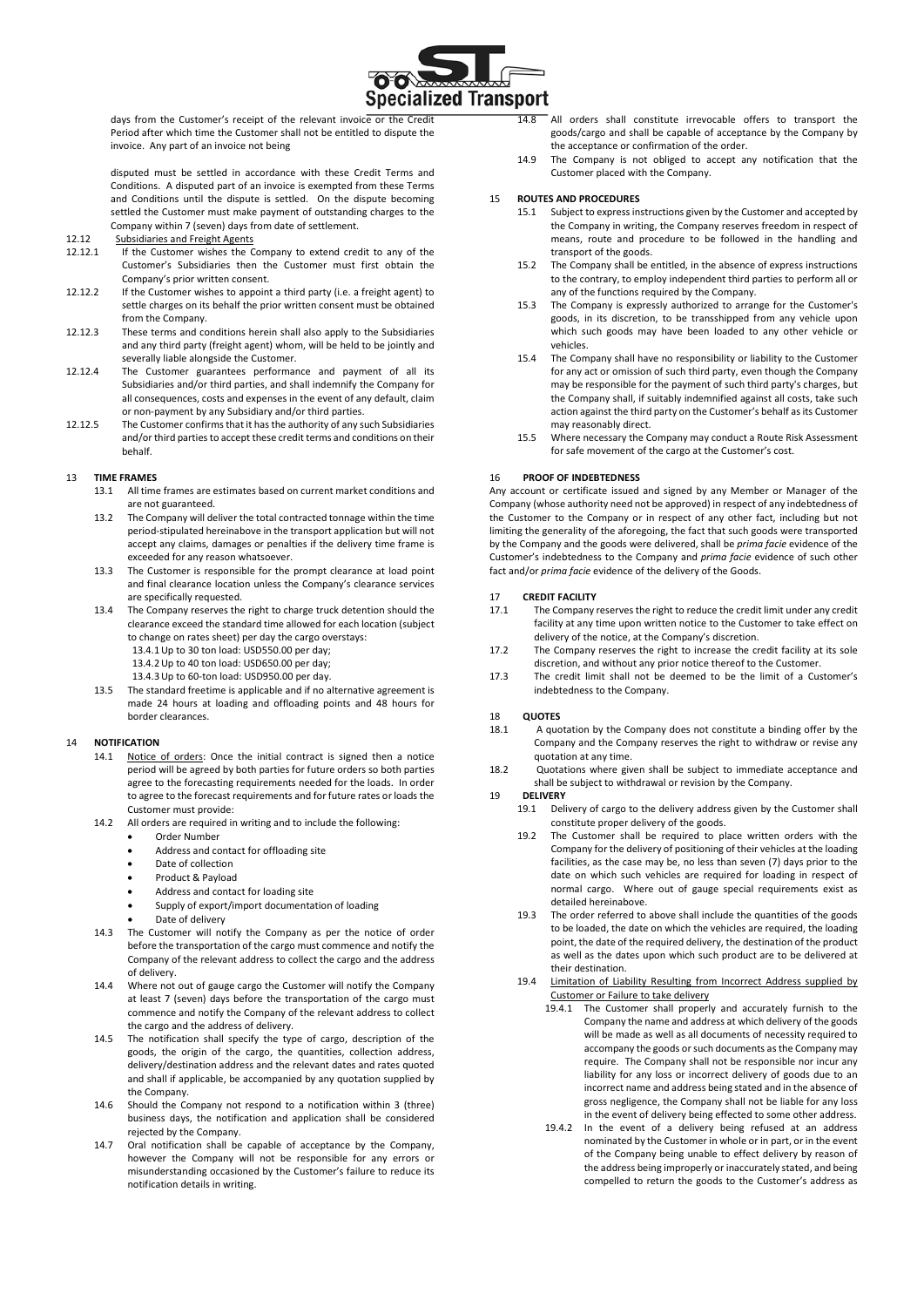

days from the Customer's receipt of the relevant invoice or the Credit Period after which time the Customer shall not be entitled to dispute the invoice. Any part of an invoice not being

disputed must be settled in accordance with these Credit Terms and Conditions. A disputed part of an invoice is exempted from these Terms and Conditions until the dispute is settled. On the dispute becoming settled the Customer must make payment of outstanding charges to the Company within 7 (seven) days from date of settlement.

- 12.12 Subsidiaries and Freight Agents
- 12.12.1 If the Customer wishes the Company to extend credit to any of the Customer's Subsidiaries then the Customer must first obtain the Company's prior written consent.
- 12.12.2 If the Customer wishes to appoint a third party (i.e. a freight agent) to settle charges on its behalf the prior written consent must be obtained from the Company.
- 12.12.3 These terms and conditions herein shall also apply to the Subsidiaries and any third party (freight agent) whom, will be held to be jointly and severally liable alongside the Customer.
- 12.12.4 The Customer guarantees performance and payment of all its Subsidiaries and/or third parties, and shall indemnify the Company for all consequences, costs and expenses in the event of any default, claim or non-payment by any Subsidiary and/or third parties.
- 12.12.5 The Customer confirms that it has the authority of any such Subsidiaries and/or third parties to accept these credit terms and conditions on their behalf.

#### 13 **TIME FRAMES**

- 13.1 All time frames are estimates based on current market conditions and are not guaranteed.
- 13.2 The Company will deliver the total contracted tonnage within the time period-stipulated hereinabove in the transport application but will not accept any claims, damages or penalties if the delivery time frame is exceeded for any reason whatsoever.
- 13.3 The Customer is responsible for the prompt clearance at load point and final clearance location unless the Company's clearance services are specifically requested.
- 13.4 The Company reserves the right to charge truck detention should the clearance exceed the standard time allowed for each location (subject to change on rates sheet) per day the cargo overstays: 13.4.1Up to 30 ton load: USD550.00 per day;
	- 13.4.2Up to 40 ton load: USD650.00 per day;
	- 13.4.3Up to 60-ton load: USD950.00 per day.
- 13.5 The standard freetime is applicable and if no alternative agreement is made 24 hours at loading and offloading points and 48 hours for border clearances.

#### 14 **NOTIFICATION**

- 14.1 Notice of orders: Once the initial contract is signed then a notice period will be agreed by both parties for future orders so both parties agree to the forecasting requirements needed for the loads. In order to agree to the forecast requirements and for future rates or loads the Customer must provide:
- 14.2 All orders are required in writing and to include the following:
	- Order Number
	- Address and contact for offloading site
	- Date of collection
	- Product & Payload
	- Address and contact for loading site
	- Supply of export/import documentation of loading
	- Date of delivery
- 14.3 The Customer will notify the Company as per the notice of order before the transportation of the cargo must commence and notify the Company of the relevant address to collect the cargo and the address of delivery.
- 14.4 Where not out of gauge cargo the Customer will notify the Company at least 7 (seven) days before the transportation of the cargo must commence and notify the Company of the relevant address to collect the cargo and the address of delivery.
- 14.5 The notification shall specify the type of cargo, description of the goods, the origin of the cargo, the quantities, collection address, delivery/destination address and the relevant dates and rates quoted and shall if applicable, be accompanied by any quotation supplied by the Company.
- 14.6 Should the Company not respond to a notification within 3 (three) business days, the notification and application shall be considered rejected by the Company.
- 14.7 Oral notification shall be capable of acceptance by the Company, however the Company will not be responsible for any errors or misunderstanding occasioned by the Customer's failure to reduce its notification details in writing.
- 14.8 All orders shall constitute irrevocable offers to transport the goods/cargo and shall be capable of acceptance by the Company by the acceptance or confirmation of the order.
- 14.9 The Company is not obliged to accept any notification that the Customer placed with the Company.

#### 15 **ROUTES AND PROCEDURES**

- 15.1 Subject to express instructions given by the Customer and accepted by the Company in writing, the Company reserves freedom in respect of means, route and procedure to be followed in the handling and transport of the goods.
- 15.2 The Company shall be entitled, in the absence of express instructions to the contrary, to employ independent third parties to perform all or any of the functions required by the Company.
- 15.3 The Company is expressly authorized to arrange for the Customer's goods, in its discretion, to be transshipped from any vehicle upon which such goods may have been loaded to any other vehicle or vehicles.
- 15.4 The Company shall have no responsibility or liability to the Customer for any act or omission of such third party, even though the Company may be responsible for the payment of such third party's charges, but the Company shall, if suitably indemnified against all costs, take such action against the third party on the Customer's behalf as its Customer may reasonably direct.
- 15.5 Where necessary the Company may conduct a Route Risk Assessment for safe movement of the cargo at the Customer's cost.

#### 16 **PROOF OF INDEBTEDNESS**

Any account or certificate issued and signed by any Member or Manager of the Company (whose authority need not be approved) in respect of any indebtedness of the Customer to the Company or in respect of any other fact, including but not limiting the generality of the aforegoing, the fact that such goods were transported by the Company and the goods were delivered, shall be *prima facie* evidence of the Customer's indebtedness to the Company and *prima facie* evidence of such other fact and/or *prima facie* evidence of the delivery of the Goods.

## 17 **CREDIT FACILITY**

- The Company reserves the right to reduce the credit limit under any credit facility at any time upon written notice to the Customer to take effect on delivery of the notice, at the Company's discretion.
- 17.2 The Company reserves the right to increase the credit facility at its sole discretion, and without any prior notice thereof to the Customer.
- 17.3 The credit limit shall not be deemed to be the limit of a Customer's indebtedness to the Company.

#### 18 **QUOTES**

- 18.1 A quotation by the Company does not constitute a binding offer by the Company and the Company reserves the right to withdraw or revise any quotation at any time.
- 18.2 Quotations where given shall be subject to immediate acceptance and shall be subject to withdrawal or revision by the Company.

## 19 **DELIVERY**

- Delivery of cargo to the delivery address given by the Customer shall constitute proper delivery of the goods.
- 19.2 The Customer shall be required to place written orders with the Company for the delivery of positioning of their vehicles at the loading facilities, as the case may be, no less than seven (7) days prior to the date on which such vehicles are required for loading in respect of normal cargo. Where out of gauge special requirements exist as detailed hereinabove.
- 19.3 The order referred to above shall include the quantities of the goods to be loaded, the date on which the vehicles are required, the loading point, the date of the required delivery, the destination of the product as well as the dates upon which such product are to be delivered at their destination.
- 19.4 Limitation of Liability Resulting from Incorrect Address supplied by Customer or Failure to take delivery
	- 19.4.1 The Customer shall properly and accurately furnish to the Company the name and address at which delivery of the goods will be made as well as all documents of necessity required to accompany the goods or such documents as the Company may require. The Company shall not be responsible nor incur any liability for any loss or incorrect delivery of goods due to an incorrect name and address being stated and in the absence of gross negligence, the Company shall not be liable for any loss in the event of delivery being effected to some other address.
	- 19.4.2 In the event of a delivery being refused at an address nominated by the Customer in whole or in part, or in the event of the Company being unable to effect delivery by reason of the address being improperly or inaccurately stated, and being compelled to return the goods to the Customer's address as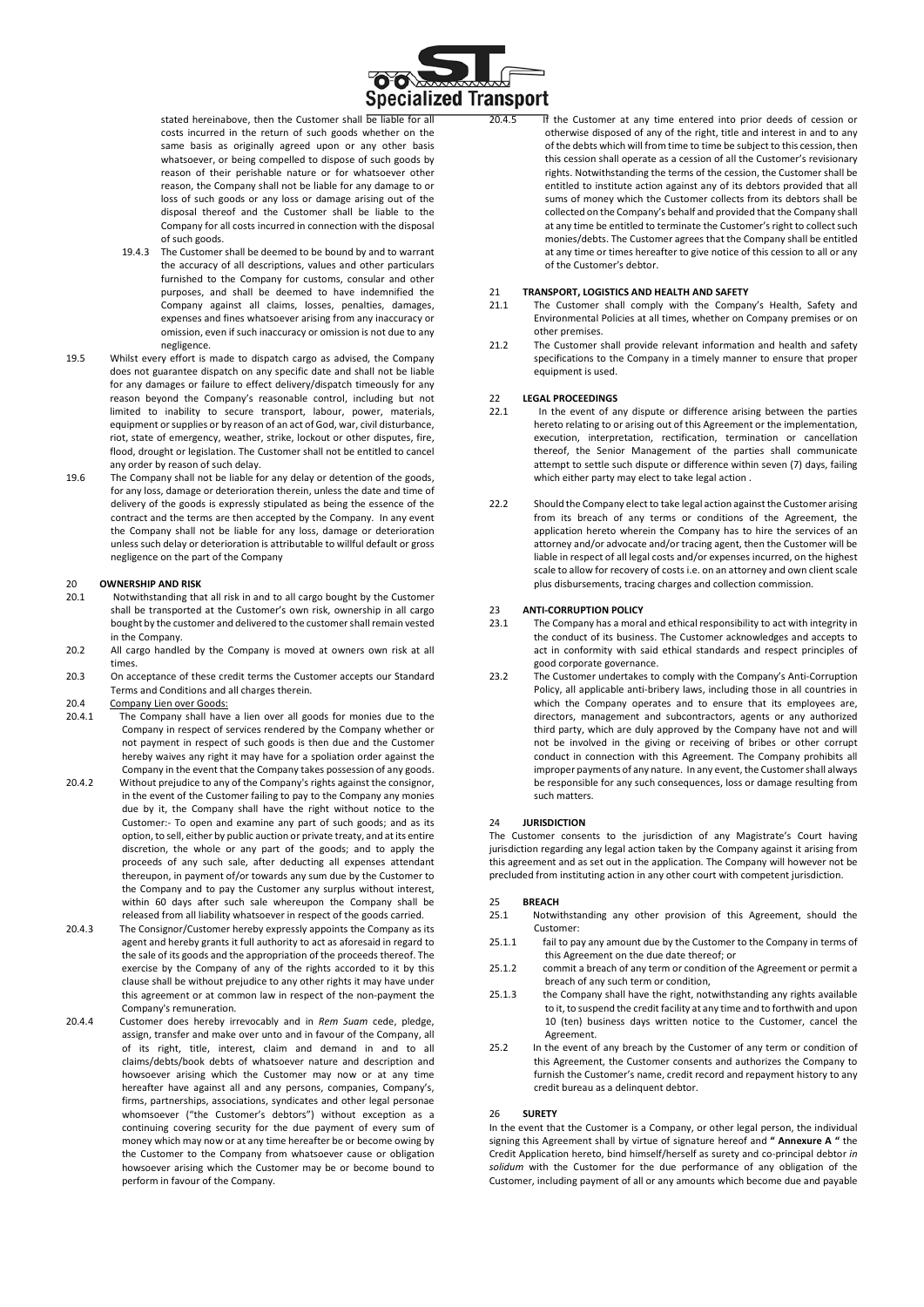

stated hereinabove, then the Customer shall be liable for all costs incurred in the return of such goods whether on the same basis as originally agreed upon or any other basis whatsoever, or being compelled to dispose of such goods by reason of their perishable nature or for whatsoever other reason, the Company shall not be liable for any damage to or loss of such goods or any loss or damage arising out of the disposal thereof and the Customer shall be liable to the Company for all costs incurred in connection with the disposal of such goods.

- 19.4.3 The Customer shall be deemed to be bound by and to warrant the accuracy of all descriptions, values and other particulars furnished to the Company for customs, consular and other purposes, and shall be deemed to have indemnified the Company against all claims, losses, penalties, damages, expenses and fines whatsoever arising from any inaccuracy or omission, even if such inaccuracy or omission is not due to any negligence.
- 19.5 Whilst every effort is made to dispatch cargo as advised, the Company does not guarantee dispatch on any specific date and shall not be liable for any damages or failure to effect delivery/dispatch timeously for any reason beyond the Company's reasonable control, including but not limited to inability to secure transport, labour, power, materials, equipment or supplies or by reason of an act of God, war, civil disturbance, riot, state of emergency, weather, strike, lockout or other disputes, fire, flood, drought or legislation. The Customer shall not be entitled to cancel any order by reason of such delay.
- 19.6 The Company shall not be liable for any delay or detention of the goods, for any loss, damage or deterioration therein, unless the date and time of delivery of the goods is expressly stipulated as being the essence of the contract and the terms are then accepted by the Company. In any event the Company shall not be liable for any loss, damage or deterioration unless such delay or deterioration is attributable to willful default or gross negligence on the part of the Company

## 20 **OWNERSHIP AND RISK**

- Notwithstanding that all risk in and to all cargo bought by the Customer shall be transported at the Customer's own risk, ownership in all cargo bought by the customer and delivered to the customer shall remain vested in the Company.
- 20.2 All cargo handled by the Company is moved at owners own risk at all times.
- 20.3 On acceptance of these credit terms the Customer accepts our Standard Terms and Conditions and all charges therein.
- 20.4 Company Lien over Goods:
- 20.4.1 The Company shall have a lien over all goods for monies due to the Company in respect of services rendered by the Company whether or not payment in respect of such goods is then due and the Customer hereby waives any right it may have for a spoliation order against the Company in the event that the Company takes possession of any goods.
- 20.4.2 Without prejudice to any of the Company's rights against the consignor, in the event of the Customer failing to pay to the Company any monies due by it, the Company shall have the right without notice to the Customer:- To open and examine any part of such goods; and as its option, to sell, either by public auction or private treaty, and at its entire discretion, the whole or any part of the goods; and to apply the proceeds of any such sale, after deducting all expenses attendant thereupon, in payment of/or towards any sum due by the Customer to the Company and to pay the Customer any surplus without interest, within 60 days after such sale whereupon the Company shall be released from all liability whatsoever in respect of the goods carried.
- 20.4.3 The Consignor/Customer hereby expressly appoints the Company as its agent and hereby grants it full authority to act as aforesaid in regard to the sale of its goods and the appropriation of the proceeds thereof. The exercise by the Company of any of the rights accorded to it by this clause shall be without prejudice to any other rights it may have under this agreement or at common law in respect of the non-payment the Company's remuneration.
- 20.4.4 Customer does hereby irrevocably and in *Rem Suam* cede, pledge, assign, transfer and make over unto and in favour of the Company, all of its right, title, interest, claim and demand in and to all claims/debts/book debts of whatsoever nature and description and howsoever arising which the Customer may now or at any time hereafter have against all and any persons, companies, Company's, firms, partnerships, associations, syndicates and other legal personae whomsoever ("the Customer's debtors") without exception as a continuing covering security for the due payment of every sum of money which may now or at any time hereafter be or become owing by the Customer to the Company from whatsoever cause or obligation howsoever arising which the Customer may be or become bound to perform in favour of the Company.

20.4.5 If the Customer at any time entered into prior deeds of cession or otherwise disposed of any of the right, title and interest in and to any of the debts which will from time to time be subject to this cession, then this cession shall operate as a cession of all the Customer's revisionary rights. Notwithstanding the terms of the cession, the Customer shall be entitled to institute action against any of its debtors provided that all sums of money which the Customer collects from its debtors shall be collected on the Company's behalf and provided that the Company shall at any time be entitled to terminate the Customer's right to collect such monies/debts. The Customer agrees that the Company shall be entitled at any time or times hereafter to give notice of this cession to all or any of the Customer's debtor.

## 21 **TRANSPORT, LOGISTICS AND HEALTH AND SAFETY**

- The Customer shall comply with the Company's Health, Safety and Environmental Policies at all times, whether on Company premises or on other premises.
- 21.2 The Customer shall provide relevant information and health and safety specifications to the Company in a timely manner to ensure that proper equipment is used.

#### 22 **LEGAL PROCEEDINGS**

- 22.1 In the event of any dispute or difference arising between the parties hereto relating to or arising out of this Agreement or the implementation, execution, interpretation, rectification, termination or cancellation thereof, the Senior Management of the parties shall communicate attempt to settle such dispute or difference within seven (7) days, failing which either party may elect to take legal action .
- 22.2 Should the Company elect to take legal action against the Customer arising from its breach of any terms or conditions of the Agreement, the application hereto wherein the Company has to hire the services of an attorney and/or advocate and/or tracing agent, then the Customer will be liable in respect of all legal costs and/or expenses incurred, on the highest scale to allow for recovery of costs i.e. on an attorney and own client scale plus disbursements, tracing charges and collection commission.

#### 23 **ANTI-CORRUPTION POLICY**

- 23.1 The Company has a moral and ethical responsibility to act with integrity in the conduct of its business. The Customer acknowledges and accepts to act in conformity with said ethical standards and respect principles of good corporate governance.
- 23.2 The Customer undertakes to comply with the Company's Anti-Corruption Policy, all applicable anti-bribery laws, including those in all countries in which the Company operates and to ensure that its employees are. directors, management and subcontractors, agents or any authorized third party, which are duly approved by the Company have not and will not be involved in the giving or receiving of bribes or other corrupt conduct in connection with this Agreement. The Company prohibits all improper payments of any nature. In any event, the Customer shall always be responsible for any such consequences, loss or damage resulting from such matters.

#### 24 **JURISDICTION**

The Customer consents to the jurisdiction of any Magistrate's Court having jurisdiction regarding any legal action taken by the Company against it arising from this agreement and as set out in the application. The Company will however not be precluded from instituting action in any other court with competent jurisdiction.

#### 25 **BREACH**

- 25.1 Notwithstanding any other provision of this Agreement, should the Customer:
- 25.1.1 fail to pay any amount due by the Customer to the Company in terms of this Agreement on the due date thereof; or
- 25.1.2 commit a breach of any term or condition of the Agreement or permit a breach of any such term or condition,
- 25.1.3 the Company shall have the right, notwithstanding any rights available to it, to suspend the credit facility at any time and to forthwith and upon 10 (ten) business days written notice to the Customer, cancel the Agreement.
- 25.2 In the event of any breach by the Customer of any term or condition of this Agreement, the Customer consents and authorizes the Company to furnish the Customer's name, credit record and repayment history to any credit bureau as a delinquent debtor.

#### 26 **SURETY**

In the event that the Customer is a Company, or other legal person, the individual signing this Agreement shall by virtue of signature hereof and **" Annexure A "** the Credit Application hereto, bind himself/herself as surety and co-principal debtor *in solidum* with the Customer for the due performance of any obligation of the Customer, including payment of all or any amounts which become due and payable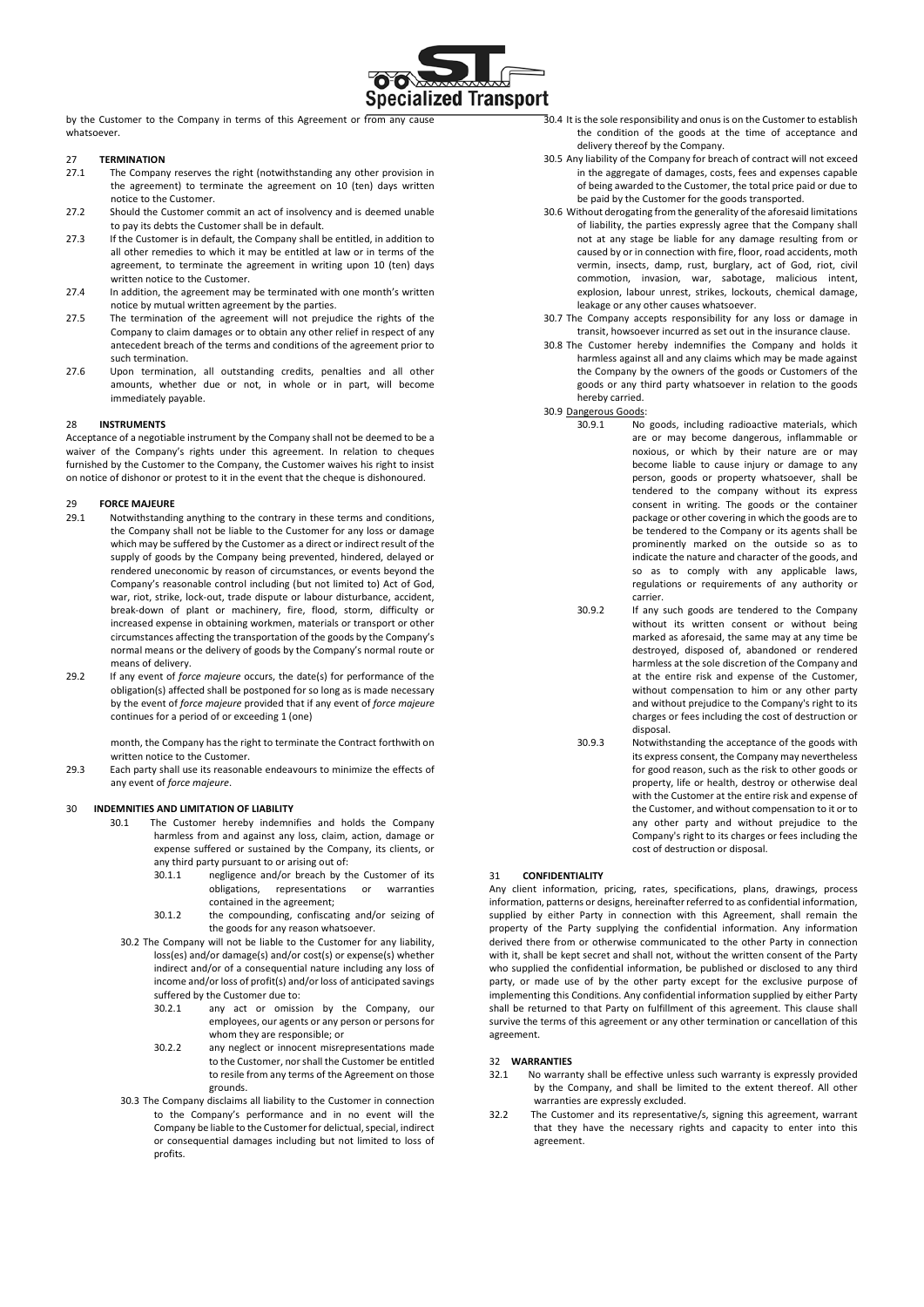

by the Customer to the Company in terms of this Agreement or from any cause whatsoever

#### 27 **TERMINATION**

- 27.1 The Company reserves the right (notwithstanding any other provision in the agreement) to terminate the agreement on 10 (ten) days written notice to the Customer.
- 27.2 Should the Customer commit an act of insolvency and is deemed unable to pay its debts the Customer shall be in default.
- 27.3 If the Customer is in default, the Company shall be entitled, in addition to all other remedies to which it may be entitled at law or in terms of the agreement, to terminate the agreement in writing upon 10 (ten) days written notice to the Customer.
- 27.4 In addition, the agreement may be terminated with one month's written notice by mutual written agreement by the parties.
- 27.5 The termination of the agreement will not prejudice the rights of the Company to claim damages or to obtain any other relief in respect of any antecedent breach of the terms and conditions of the agreement prior to such termination.
- 27.6 Upon termination, all outstanding credits, penalties and all other amounts, whether due or not, in whole or in part, will become immediately payable.

#### 28 **INSTRUMENTS**

Acceptance of a negotiable instrument by the Company shall not be deemed to be a waiver of the Company's rights under this agreement. In relation to cheques furnished by the Customer to the Company, the Customer waives his right to insist on notice of dishonor or protest to it in the event that the cheque is dishonoured.

#### 29 **FORCE MAJEURE**

- 29.1 Notwithstanding anything to the contrary in these terms and conditions, the Company shall not be liable to the Customer for any loss or damage which may be suffered by the Customer as a direct or indirect result of the supply of goods by the Company being prevented, hindered, delayed or rendered uneconomic by reason of circumstances, or events beyond the Company's reasonable control including (but not limited to) Act of God, war, riot, strike, lock-out, trade dispute or labour disturbance, accident, break-down of plant or machinery, fire, flood, storm, difficulty or increased expense in obtaining workmen, materials or transport or other circumstances affecting the transportation of the goods by the Company's normal means or the delivery of goods by the Company's normal route or means of delivery.
- 29.2 If any event of *force majeure* occurs, the date(s) for performance of the obligation(s) affected shall be postponed for so long as is made necessary by the event of *force majeure* provided that if any event of *force majeure* continues for a period of or exceeding 1 (one)

month, the Company has the right to terminate the Contract forthwith on written notice to the Customer.

29.3 Each party shall use its reasonable endeavours to minimize the effects of any event of *force majeure*.

#### 30 **INDEMNITIES AND LIMITATION OF LIABILITY**

- 30.1 The Customer hereby indemnifies and holds the Company harmless from and against any loss, claim, action, damage or expense suffered or sustained by the Company, its clients, or any third party pursuant to or arising out of:<br>30.1.1 negligence and/or breach by t
	- s.<br>
	inegligence and/or breach by the Customer of its<br>
	obligations, representations or warranties representations or contained in the agreement;
	- 30.1.2 the compounding, confiscating and/or seizing of the goods for any reason whatsoever.
	- 30.2 The Company will not be liable to the Customer for any liability, loss(es) and/or damage(s) and/or cost(s) or expense(s) whether indirect and/or of a consequential nature including any loss of income and/or loss of profit(s) and/or loss of anticipated savings suffered by the Customer due to:
		- 30.2.1 any act or omission by the Company, our employees, our agents or any person or persons for whom they are responsible; or
		- 30.2.2 any neglect or innocent misrepresentations made to the Customer, nor shall the Customer be entitled to resile from any terms of the Agreement on those grounds.
	- 30.3 The Company disclaims all liability to the Customer in connection to the Company's performance and in no event will the Company be liable to the Customer for delictual, special, indirect or consequential damages including but not limited to loss of profits.
- 30.4 It is the sole responsibility and onus is on the Customer to establish the condition of the goods at the time of acceptance and delivery thereof by the Company.
- 30.5 Any liability of the Company for breach of contract will not exceed in the aggregate of damages, costs, fees and expenses capable of being awarded to the Customer, the total price paid or due to be paid by the Customer for the goods transported.
- 30.6 Without derogating from the generality of the aforesaid limitations of liability, the parties expressly agree that the Company shall not at any stage be liable for any damage resulting from or caused by or in connection with fire, floor, road accidents, moth vermin, insects, damp, rust, burglary, act of God, riot, civil commotion, invasion, war, sabotage, malicious intent, explosion, labour unrest, strikes, lockouts, chemical damage, leakage or any other causes whatsoever.
- 30.7 The Company accepts responsibility for any loss or damage in transit, howsoever incurred as set out in the insurance clause.
- 30.8 The Customer hereby indemnifies the Company and holds it harmless against all and any claims which may be made against the Company by the owners of the goods or Customers of the goods or any third party whatsoever in relation to the goods hereby carried.

30.9 Dangerous Goods:

- 30.9.1 No goods, including radioactive materials, which are or may become dangerous, inflammable or noxious, or which by their nature are or may become liable to cause injury or damage to any person, goods or property whatsoever, shall be tendered to the company without its express consent in writing. The goods or the container package or other covering in which the goods are to be tendered to the Company or its agents shall be prominently marked on the outside so as to indicate the nature and character of the goods, and so as to comply with any applicable laws, regulations or requirements of any authority or carrier.
- 30.9.2 If any such goods are tendered to the Company without its written consent or without being marked as aforesaid, the same may at any time be destroyed, disposed of, abandoned or rendered harmless at the sole discretion of the Company and at the entire risk and expense of the Customer, without compensation to him or any other party and without prejudice to the Company's right to its charges or fees including the cost of destruction or disposal.
- 30.9.3 Notwithstanding the acceptance of the goods with its express consent, the Company may nevertheless for good reason, such as the risk to other goods or property, life or health, destroy or otherwise deal with the Customer at the entire risk and expense of the Customer, and without compensation to it or to any other party and without prejudice to the Company's right to its charges or fees including the cost of destruction or disposal.

#### 31 **CONFIDENTIALITY**

Any client information, pricing, rates, specifications, plans, drawings, process information, patterns or designs, hereinafter referred to as confidential information, supplied by either Party in connection with this Agreement, shall remain the property of the Party supplying the confidential information. Any information derived there from or otherwise communicated to the other Party in connection with it, shall be kept secret and shall not, without the written consent of the Party who supplied the confidential information, be published or disclosed to any third party, or made use of by the other party except for the exclusive purpose of implementing this Conditions. Any confidential information supplied by either Party shall be returned to that Party on fulfillment of this agreement. This clause shall survive the terms of this agreement or any other termination or cancellation of this agreement.

#### 32 **WARRANTIES**

- 32.1 No warranty shall be effective unless such warranty is expressly provided by the Company, and shall be limited to the extent thereof. All other warranties are expressly excluded.
- 32.2 The Customer and its representative/s, signing this agreement, warrant that they have the necessary rights and capacity to enter into this agreement.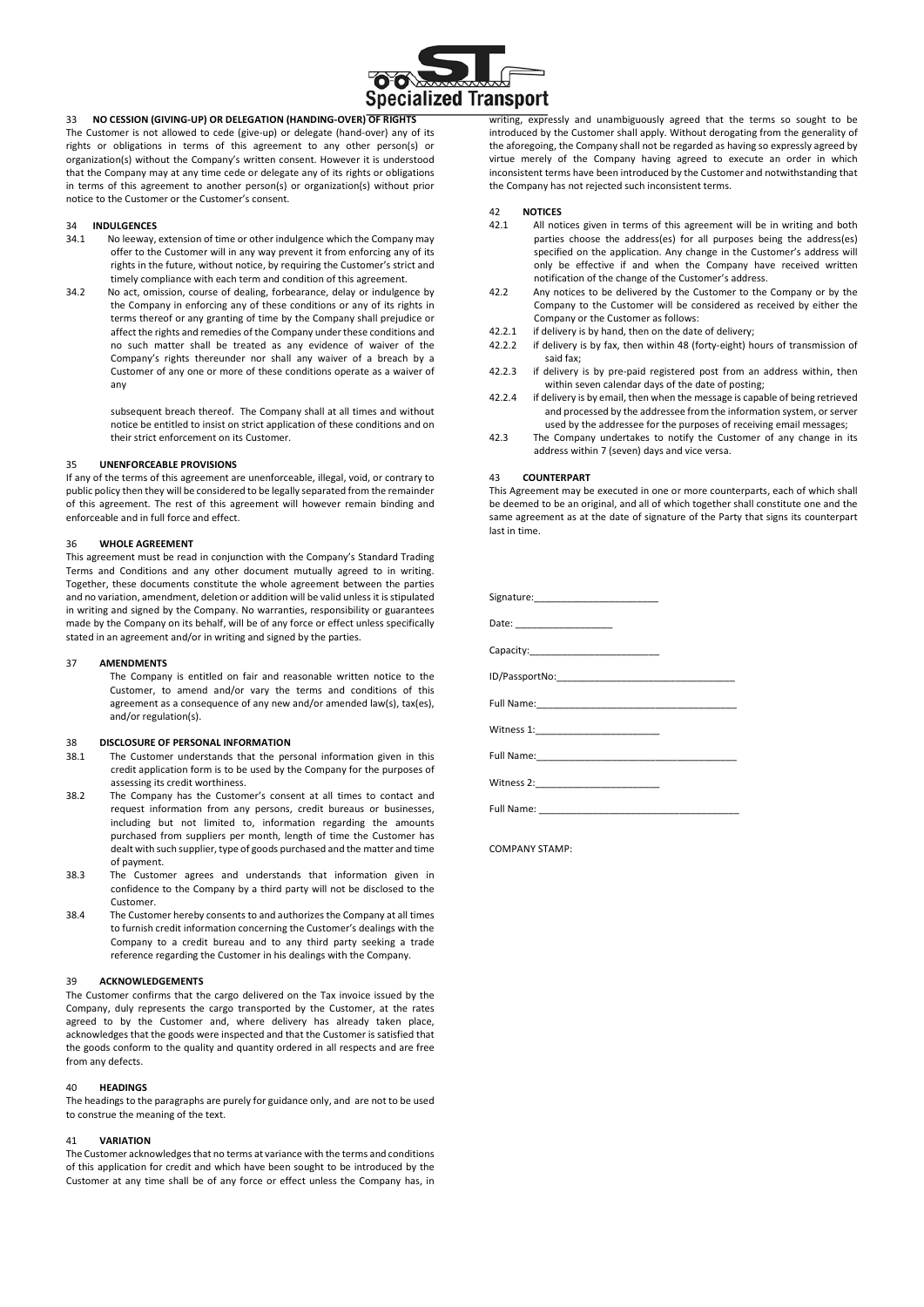

33 **NO CESSION (GIVING-UP) OR DELEGATION (HANDING-OVER) OF RIGHTS** The Customer is not allowed to cede (give-up) or delegate (hand-over) any of its rights or obligations in terms of this agreement to any other person(s) or organization(s) without the Company's written consent. However it is understood that the Company may at any time cede or delegate any of its rights or obligations in terms of this agreement to another person(s) or organization(s) without prior notice to the Customer or the Customer's consent.

#### 34 **INDULGENCES**

- 34.1 No leeway, extension of time or other indulgence which the Company may offer to the Customer will in any way prevent it from enforcing any of its rights in the future, without notice, by requiring the Customer's strict and timely compliance with each term and condition of this agreement.
- 34.2 No act, omission, course of dealing, forbearance, delay or indulgence by the Company in enforcing any of these conditions or any of its rights in terms thereof or any granting of time by the Company shall prejudice or affect the rights and remedies of the Company under these conditions and no such matter shall be treated as any evidence of waiver of the Company's rights thereunder nor shall any waiver of a breach by a Customer of any one or more of these conditions operate as a waiver of any

subsequent breach thereof. The Company shall at all times and without notice be entitled to insist on strict application of these conditions and on their strict enforcement on its Customer.

#### 35 **UNENFORCEABLE PROVISIONS**

If any of the terms of this agreement are unenforceable, illegal, void, or contrary to public policy then they will be considered to be legally separated from the remainder of this agreement. The rest of this agreement will however remain binding and enforceable and in full force and effect.

#### 36 **WHOLE AGREEMENT**

This agreement must be read in conjunction with the Company's Standard Trading Terms and Conditions and any other document mutually agreed to in writing. Together, these documents constitute the whole agreement between the parties and no variation, amendment, deletion or addition will be valid unless it is stipulated in writing and signed by the Company. No warranties, responsibility or guarantees made by the Company on its behalf, will be of any force or effect unless specifically stated in an agreement and/or in writing and signed by the parties.

#### 37 **AMENDMENTS**

The Company is entitled on fair and reasonable written notice to the Customer, to amend and/or vary the terms and conditions of this agreement as a consequence of any new and/or amended law(s), tax(es), and/or regulation(s).

#### 38 **DISCLOSURE OF PERSONAL INFORMATION**

- 38.1 The Customer understands that the personal information given in this credit application form is to be used by the Company for the purposes of assessing its credit worthiness.
- 38.2 The Company has the Customer's consent at all times to contact and request information from any persons, credit bureaus or businesses, including but not limited to, information regarding the amounts purchased from suppliers per month, length of time the Customer has dealt with such supplier, type of goods purchased and the matter and time of payment.
- 38.3 The Customer agrees and understands that information given in confidence to the Company by a third party will not be disclosed to the Customer.
- 38.4 The Customer hereby consents to and authorizes the Company at all times to furnish credit information concerning the Customer's dealings with the Company to a credit bureau and to any third party seeking a trade reference regarding the Customer in his dealings with the Company.

#### 39 **ACKNOWLEDGEMENTS**

The Customer confirms that the cargo delivered on the Tax invoice issued by the Company, duly represents the cargo transported by the Customer, at the rates agreed to by the Customer and, where delivery has already taken place, acknowledges that the goods were inspected and that the Customer is satisfied that the goods conform to the quality and quantity ordered in all respects and are free from any defects.

#### 40 **HEADINGS**

The headings to the paragraphs are purely for guidance only, and are not to be used to construe the meaning of the text.

#### 41 **VARIATION**

The Customer acknowledges that no terms at variance with the terms and conditions of this application for credit and which have been sought to be introduced by the Customer at any time shall be of any force or effect unless the Company has, in

writing, expressly and unambiguously agreed that the terms so sought to be introduced by the Customer shall apply. Without derogating from the generality of the aforegoing, the Company shall not be regarded as having so expressly agreed by virtue merely of the Company having agreed to execute an order in which inconsistent terms have been introduced by the Customer and notwithstanding that the Company has not rejected such inconsistent terms.

#### 42 **NOTICES**

- 42.1 All notices given in terms of this agreement will be in writing and both parties choose the address(es) for all purposes being the address(es) specified on the application. Any change in the Customer's address will only be effective if and when the Company have received written notification of the change of the Customer's address.
- 42.2 Any notices to be delivered by the Customer to the Company or by the Company to the Customer will be considered as received by either the Company or the Customer as follows:
- 42.2.1 if delivery is by hand, then on the date of delivery;<br>42.2.2 if delivery is by fax then within 48 (forty-eight) he
- if delivery is by fax, then within 48 (forty-eight) hours of transmission of said fax;
- 42.2.3 if delivery is by pre-paid registered post from an address within, then within seven calendar days of the date of posting;
- 42.2.4 if delivery is by email, then when the message is capable of being retrieved and processed by the addressee from the information system, or server used by the addressee for the purposes of receiving email messages;
- 42.3 The Company undertakes to notify the Customer of any change in its address within 7 (seven) days and vice versa.

#### 43 **COUNTERPART**

This Agreement may be executed in one or more counterparts, each of which shall be deemed to be an original, and all of which together shall constitute one and the same agreement as at the date of signature of the Party that signs its counterpart last in time.

COMPANY STAMP: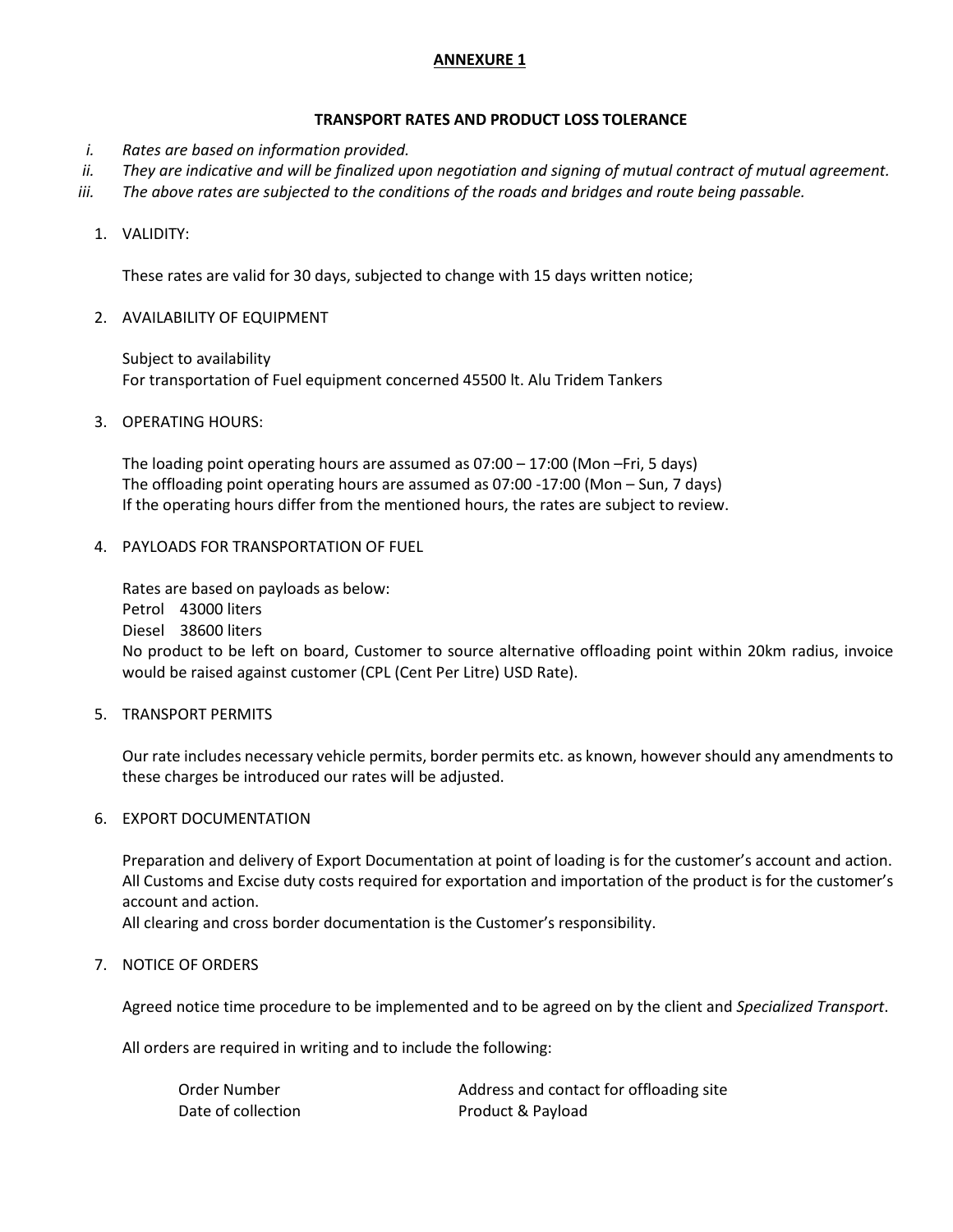### **ANNEXURE 1**

### **TRANSPORT RATES AND PRODUCT LOSS TOLERANCE**

- *i. Rates are based on information provided.*
- *ii. They are indicative and will be finalized upon negotiation and signing of mutual contract of mutual agreement.*
- *iii. The above rates are subjected to the conditions of the roads and bridges and route being passable.*
	- 1. VALIDITY:

These rates are valid for 30 days, subjected to change with 15 days written notice;

2. AVAILABILITY OF EQUIPMENT

Subject to availability For transportation of Fuel equipment concerned 45500 lt. Alu Tridem Tankers

3. OPERATING HOURS:

The loading point operating hours are assumed as 07:00 – 17:00 (Mon –Fri, 5 days) The offloading point operating hours are assumed as 07:00 -17:00 (Mon – Sun, 7 days) If the operating hours differ from the mentioned hours, the rates are subject to review.

4. PAYLOADS FOR TRANSPORTATION OF FUEL

Rates are based on payloads as below: Petrol 43000 liters Diesel 38600 liters No product to be left on board, Customer to source alternative offloading point within 20km radius, invoice would be raised against customer (CPL (Cent Per Litre) USD Rate).

5. TRANSPORT PERMITS

Our rate includes necessary vehicle permits, border permits etc. as known, however should any amendments to these charges be introduced our rates will be adjusted.

6. EXPORT DOCUMENTATION

Preparation and delivery of Export Documentation at point of loading is for the customer's account and action. All Customs and Excise duty costs required for exportation and importation of the product is for the customer's account and action.

All clearing and cross border documentation is the Customer's responsibility.

### 7. NOTICE OF ORDERS

Agreed notice time procedure to be implemented and to be agreed on by the client and *Specialized Transport*.

All orders are required in writing and to include the following:

| Order Number       | Address and contact for offloading site |
|--------------------|-----------------------------------------|
| Date of collection | Product & Payload                       |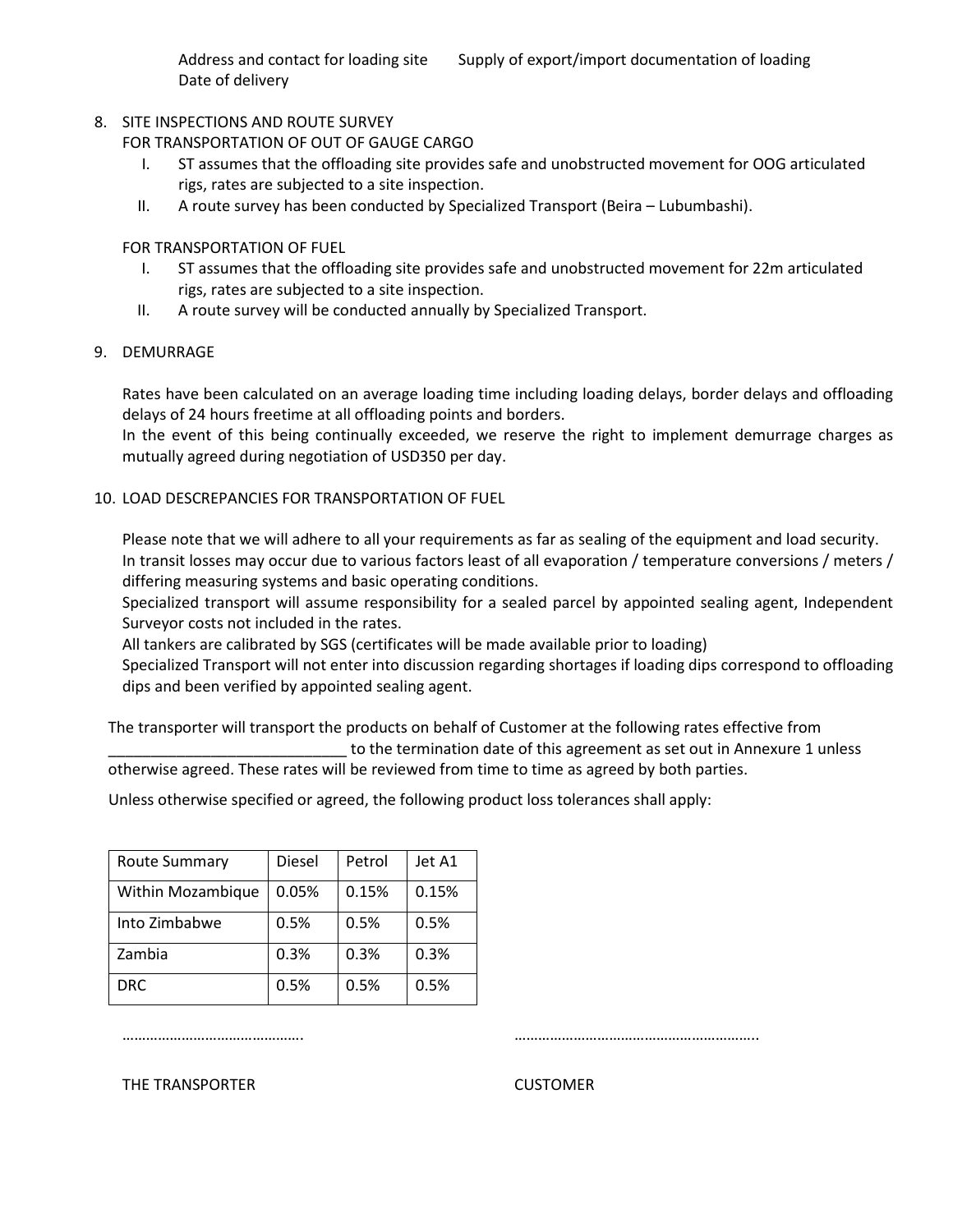Address and contact for loading site Supply of export/import documentation of loading Date of delivery

### 8. SITE INSPECTIONS AND ROUTE SURVEY

FOR TRANSPORTATION OF OUT OF GAUGE CARGO

- I. ST assumes that the offloading site provides safe and unobstructed movement for OOG articulated rigs, rates are subjected to a site inspection.
- II. A route survey has been conducted by Specialized Transport (Beira Lubumbashi).

FOR TRANSPORTATION OF FUEL

- I. ST assumes that the offloading site provides safe and unobstructed movement for 22m articulated rigs, rates are subjected to a site inspection.
- II. A route survey will be conducted annually by Specialized Transport.

### 9. DEMURRAGE

Rates have been calculated on an average loading time including loading delays, border delays and offloading delays of 24 hours freetime at all offloading points and borders.

In the event of this being continually exceeded, we reserve the right to implement demurrage charges as mutually agreed during negotiation of USD350 per day.

### 10. LOAD DESCREPANCIES FOR TRANSPORTATION OF FUEL

Please note that we will adhere to all your requirements as far as sealing of the equipment and load security. In transit losses may occur due to various factors least of all evaporation / temperature conversions / meters / differing measuring systems and basic operating conditions.

Specialized transport will assume responsibility for a sealed parcel by appointed sealing agent, Independent Surveyor costs not included in the rates.

All tankers are calibrated by SGS (certificates will be made available prior to loading)

Specialized Transport will not enter into discussion regarding shortages if loading dips correspond to offloading dips and been verified by appointed sealing agent.

The transporter will transport the products on behalf of Customer at the following rates effective from to the termination date of this agreement as set out in Annexure 1 unless

otherwise agreed. These rates will be reviewed from time to time as agreed by both parties.

Unless otherwise specified or agreed, the following product loss tolerances shall apply:

| <b>Route Summary</b> | Diesel | Petrol | Jet A1 |
|----------------------|--------|--------|--------|
| Within Mozambique    | 0.05%  | 0.15%  | 0.15%  |
| Into Zimbabwe        | 0.5%   | 0.5%   | 0.5%   |
| Zambia               | 0.3%   | 0.3%   | 0.3%   |
| <b>DRC</b>           | 0.5%   | 0.5%   | 0.5%   |

………………………………………. ……………………………………………………..

### THE TRANSPORTER CUSTOMER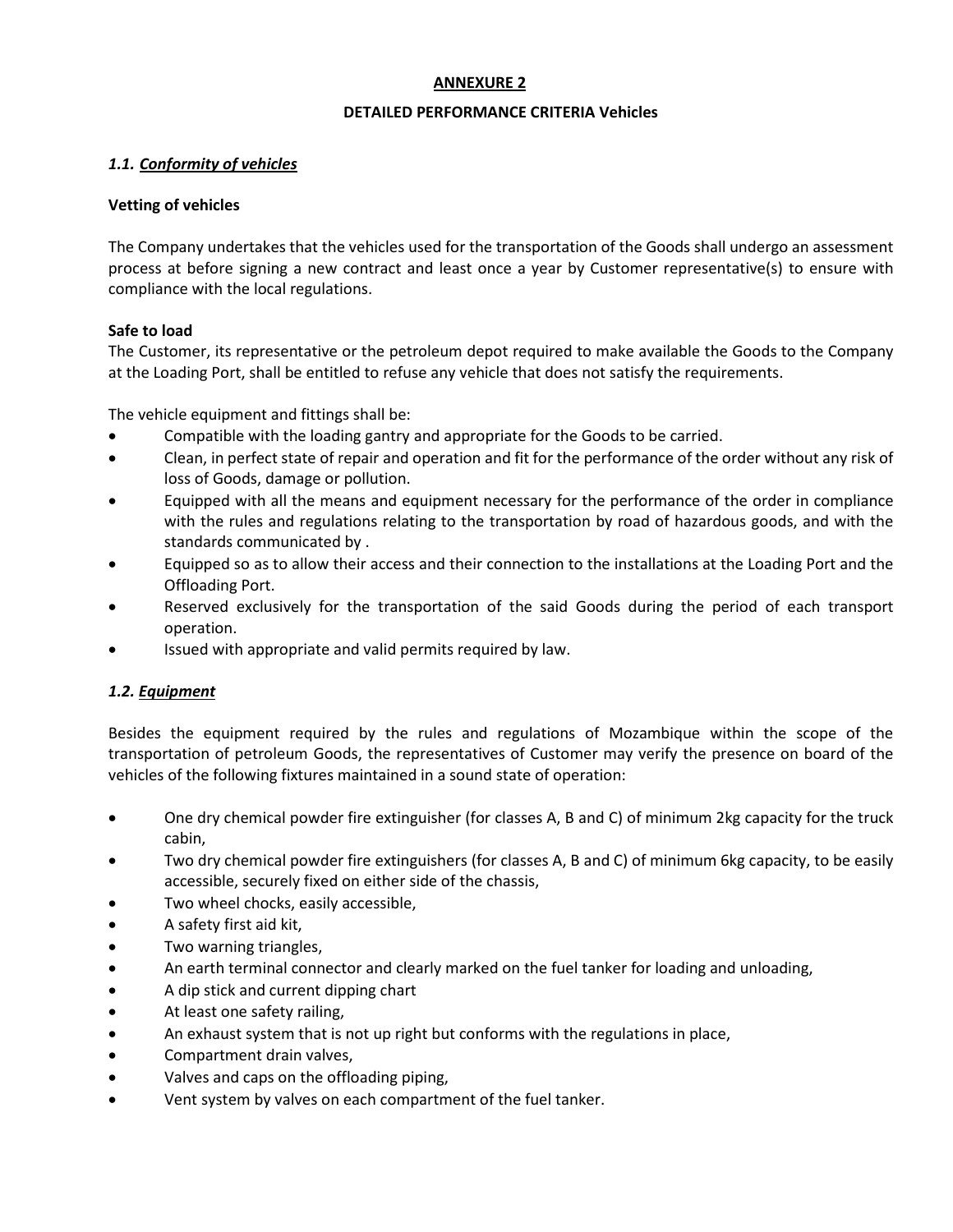### **ANNEXURE 2**

### **DETAILED PERFORMANCE CRITERIA Vehicles**

### *1.1. Conformity of vehicles*

### **Vetting of vehicles**

The Company undertakes that the vehicles used for the transportation of the Goods shall undergo an assessment process at before signing a new contract and least once a year by Customer representative(s) to ensure with compliance with the local regulations.

### **Safe to load**

The Customer, its representative or the petroleum depot required to make available the Goods to the Company at the Loading Port, shall be entitled to refuse any vehicle that does not satisfy the requirements.

The vehicle equipment and fittings shall be:

- Compatible with the loading gantry and appropriate for the Goods to be carried.
- Clean, in perfect state of repair and operation and fit for the performance of the order without any risk of loss of Goods, damage or pollution.
- Equipped with all the means and equipment necessary for the performance of the order in compliance with the rules and regulations relating to the transportation by road of hazardous goods, and with the standards communicated by .
- Equipped so as to allow their access and their connection to the installations at the Loading Port and the Offloading Port.
- Reserved exclusively for the transportation of the said Goods during the period of each transport operation.
- Issued with appropriate and valid permits required by law.

### *1.2. Equipment*

Besides the equipment required by the rules and regulations of Mozambique within the scope of the transportation of petroleum Goods, the representatives of Customer may verify the presence on board of the vehicles of the following fixtures maintained in a sound state of operation:

- One dry chemical powder fire extinguisher (for classes A, B and C) of minimum 2kg capacity for the truck cabin,
- Two dry chemical powder fire extinguishers (for classes A, B and C) of minimum 6kg capacity, to be easily accessible, securely fixed on either side of the chassis,
- Two wheel chocks, easily accessible,
- A safety first aid kit,
- Two warning triangles,
- An earth terminal connector and clearly marked on the fuel tanker for loading and unloading,
- A dip stick and current dipping chart
- At least one safety railing,
- An exhaust system that is not up right but conforms with the regulations in place,
- Compartment drain valves,
- Valves and caps on the offloading piping,
- Vent system by valves on each compartment of the fuel tanker.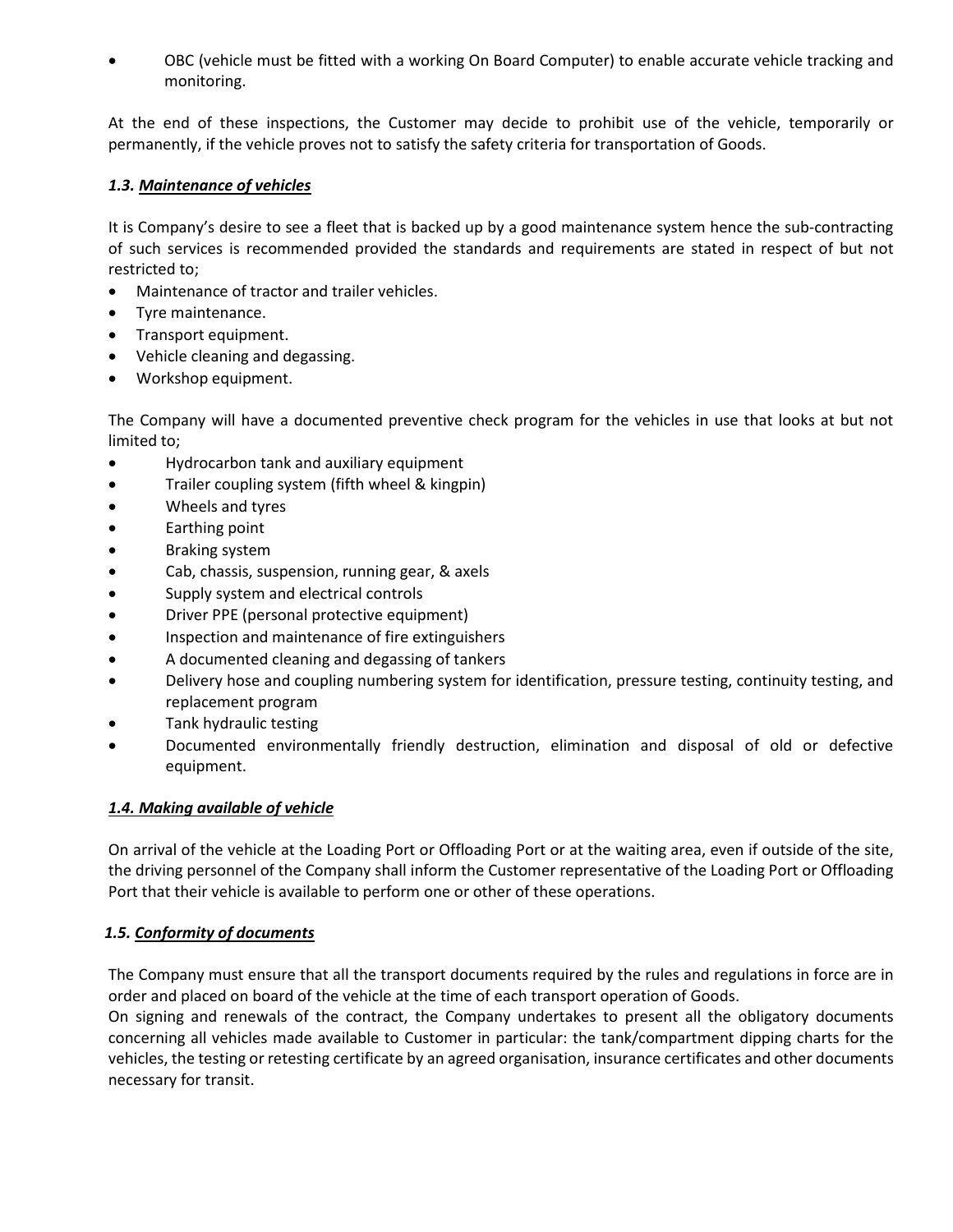• OBC (vehicle must be fitted with a working On Board Computer) to enable accurate vehicle tracking and monitoring.

At the end of these inspections, the Customer may decide to prohibit use of the vehicle, temporarily or permanently, if the vehicle proves not to satisfy the safety criteria for transportation of Goods.

### *1.3. Maintenance of vehicles*

It is Company's desire to see a fleet that is backed up by a good maintenance system hence the sub-contracting of such services is recommended provided the standards and requirements are stated in respect of but not restricted to;

- Maintenance of tractor and trailer vehicles.
- Tyre maintenance.
- Transport equipment.
- Vehicle cleaning and degassing.
- Workshop equipment.

The Company will have a documented preventive check program for the vehicles in use that looks at but not limited to;

- Hydrocarbon tank and auxiliary equipment
- Trailer coupling system (fifth wheel & kingpin)
- Wheels and tyres
- Earthing point
- Braking system
- Cab, chassis, suspension, running gear, & axels
- Supply system and electrical controls
- Driver PPE (personal protective equipment)
- Inspection and maintenance of fire extinguishers
- A documented cleaning and degassing of tankers
- Delivery hose and coupling numbering system for identification, pressure testing, continuity testing, and replacement program
- Tank hydraulic testing
- Documented environmentally friendly destruction, elimination and disposal of old or defective equipment.

## *1.4. Making available of vehicle*

On arrival of the vehicle at the Loading Port or Offloading Port or at the waiting area, even if outside of the site, the driving personnel of the Company shall inform the Customer representative of the Loading Port or Offloading Port that their vehicle is available to perform one or other of these operations.

## *1.5. Conformity of documents*

The Company must ensure that all the transport documents required by the rules and regulations in force are in order and placed on board of the vehicle at the time of each transport operation of Goods.

On signing and renewals of the contract, the Company undertakes to present all the obligatory documents concerning all vehicles made available to Customer in particular: the tank/compartment dipping charts for the vehicles, the testing or retesting certificate by an agreed organisation, insurance certificates and other documents necessary for transit.